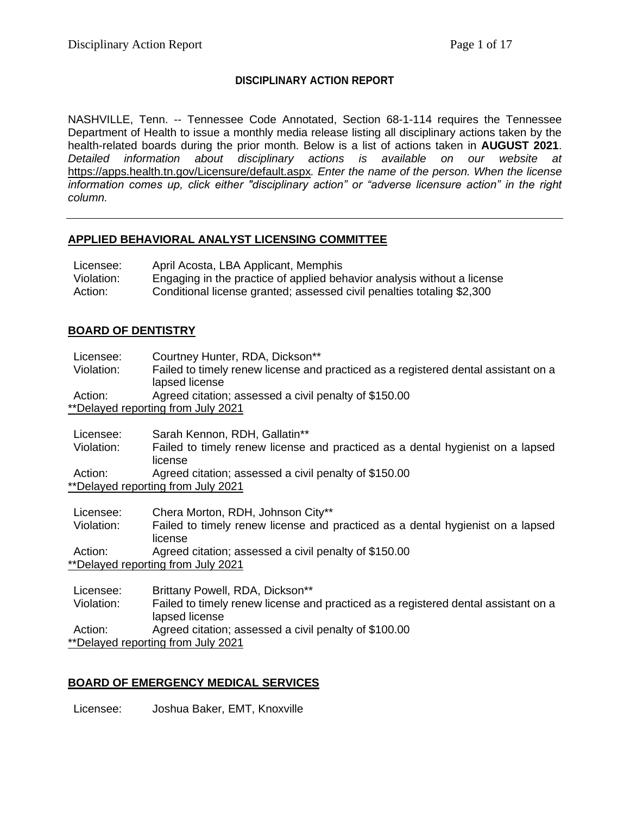## **DISCIPLINARY ACTION REPORT**

NASHVILLE, Tenn. -- Tennessee Code Annotated, Section 68-1-114 requires the Tennessee Department of Health to issue a monthly media release listing all disciplinary actions taken by the health-related boards during the prior month. Below is a list of actions taken in **AUGUST 2021**. *Detailed information about disciplinary actions is available on our website at*  <https://apps.health.tn.gov/Licensure/default.aspx>*. Enter the name of the person. When the license information comes up, click either "disciplinary action" or "adverse licensure action" in the right column.*

### **APPLIED BEHAVIORAL ANALYST LICENSING COMMITTEE**

| Licensee:  | April Acosta, LBA Applicant, Memphis                                    |
|------------|-------------------------------------------------------------------------|
| Violation: | Engaging in the practice of applied behavior analysis without a license |
| Action:    | Conditional license granted; assessed civil penalties totaling \$2,300  |

## **BOARD OF DENTISTRY**

Licensee: Courtney Hunter, RDA, Dickson\*\* Violation: Failed to timely renew license and practiced as a registered dental assistant on a lapsed license Action: Agreed citation; assessed a civil penalty of \$150.00 \*\*Delayed reporting from July 2021 Licensee: Sarah Kennon, RDH, Gallatin\*\* Violation: Failed to timely renew license and practiced as a dental hygienist on a lapsed license Action: Agreed citation; assessed a civil penalty of \$150.00 \*\*Delayed reporting from July 2021 Licensee: Chera Morton, RDH, Johnson City\*\* Violation: Failed to timely renew license and practiced as a dental hygienist on a lapsed license Action: Agreed citation; assessed a civil penalty of \$150.00 \*\*Delayed reporting from July 2021 Licensee: Brittany Powell, RDA, Dickson\*\* Violation: Failed to timely renew license and practiced as a registered dental assistant on a lapsed license Action: Agreed citation; assessed a civil penalty of \$100.00 \*\*Delayed reporting from July 2021

## **BOARD OF EMERGENCY MEDICAL SERVICES**

Licensee: Joshua Baker, EMT, Knoxville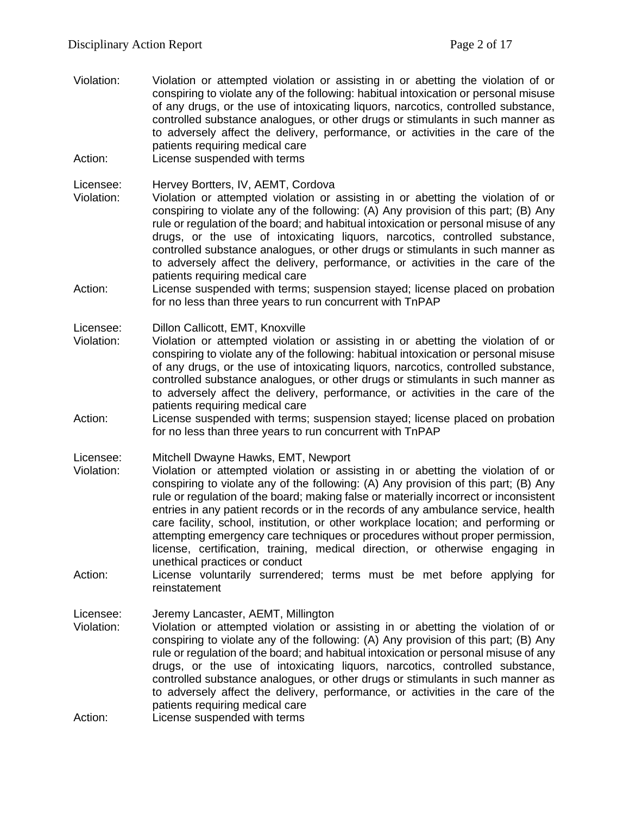- Violation: Violation or attempted violation or assisting in or abetting the violation of or conspiring to violate any of the following: habitual intoxication or personal misuse of any drugs, or the use of intoxicating liquors, narcotics, controlled substance, controlled substance analogues, or other drugs or stimulants in such manner as to adversely affect the delivery, performance, or activities in the care of the patients requiring medical care
- Action: License suspended with terms

Licensee: Hervey Bortters, IV, AEMT, Cordova

- Violation: Violation or attempted violation or assisting in or abetting the violation of or conspiring to violate any of the following: (A) Any provision of this part; (B) Any rule or regulation of the board; and habitual intoxication or personal misuse of any drugs, or the use of intoxicating liquors, narcotics, controlled substance, controlled substance analogues, or other drugs or stimulants in such manner as to adversely affect the delivery, performance, or activities in the care of the patients requiring medical care
- Action: License suspended with terms; suspension stayed; license placed on probation for no less than three years to run concurrent with TnPAP

Licensee: Dillon Callicott, EMT, Knoxville

- Violation: Violation or attempted violation or assisting in or abetting the violation of or conspiring to violate any of the following: habitual intoxication or personal misuse of any drugs, or the use of intoxicating liquors, narcotics, controlled substance, controlled substance analogues, or other drugs or stimulants in such manner as to adversely affect the delivery, performance, or activities in the care of the patients requiring medical care
- Action: License suspended with terms; suspension stayed; license placed on probation for no less than three years to run concurrent with TnPAP

Licensee: Mitchell Dwayne Hawks, EMT, Newport

- Violation: Violation or attempted violation or assisting in or abetting the violation of or conspiring to violate any of the following: (A) Any provision of this part; (B) Any rule or regulation of the board; making false or materially incorrect or inconsistent entries in any patient records or in the records of any ambulance service, health care facility, school, institution, or other workplace location; and performing or attempting emergency care techniques or procedures without proper permission, license, certification, training, medical direction, or otherwise engaging in unethical practices or conduct
- Action: License voluntarily surrendered; terms must be met before applying for reinstatement

Licensee: Jeremy Lancaster, AEMT, Millington

- Violation: Violation or attempted violation or assisting in or abetting the violation of or conspiring to violate any of the following: (A) Any provision of this part; (B) Any rule or regulation of the board; and habitual intoxication or personal misuse of any drugs, or the use of intoxicating liquors, narcotics, controlled substance, controlled substance analogues, or other drugs or stimulants in such manner as to adversely affect the delivery, performance, or activities in the care of the patients requiring medical care
- Action: License suspended with terms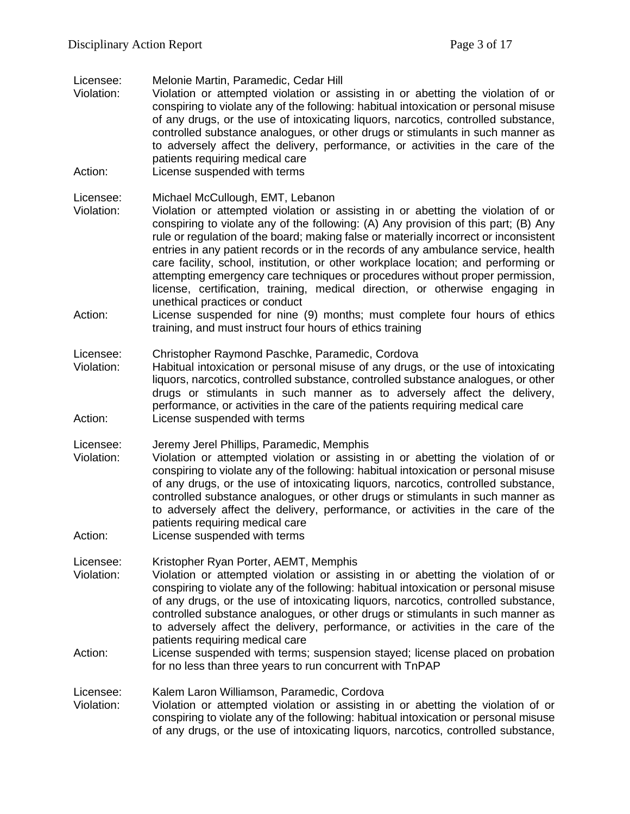Licensee: Melonie Martin, Paramedic, Cedar Hill

- Violation: Violation or attempted violation or assisting in or abetting the violation of or conspiring to violate any of the following: habitual intoxication or personal misuse of any drugs, or the use of intoxicating liquors, narcotics, controlled substance, controlled substance analogues, or other drugs or stimulants in such manner as to adversely affect the delivery, performance, or activities in the care of the patients requiring medical care
- Action: License suspended with terms

Licensee: Michael McCullough, EMT, Lebanon

- Violation: Violation or attempted violation or assisting in or abetting the violation of or conspiring to violate any of the following: (A) Any provision of this part; (B) Any rule or regulation of the board; making false or materially incorrect or inconsistent entries in any patient records or in the records of any ambulance service, health care facility, school, institution, or other workplace location; and performing or attempting emergency care techniques or procedures without proper permission, license, certification, training, medical direction, or otherwise engaging in unethical practices or conduct
- Action: License suspended for nine (9) months; must complete four hours of ethics training, and must instruct four hours of ethics training

Licensee: Christopher Raymond Paschke, Paramedic, Cordova

- Violation: Habitual intoxication or personal misuse of any drugs, or the use of intoxicating liquors, narcotics, controlled substance, controlled substance analogues, or other drugs or stimulants in such manner as to adversely affect the delivery, performance, or activities in the care of the patients requiring medical care Action: License suspended with terms
- Licensee: Jeremy Jerel Phillips, Paramedic, Memphis
- Violation: Violation or attempted violation or assisting in or abetting the violation of or conspiring to violate any of the following: habitual intoxication or personal misuse of any drugs, or the use of intoxicating liquors, narcotics, controlled substance, controlled substance analogues, or other drugs or stimulants in such manner as to adversely affect the delivery, performance, or activities in the care of the patients requiring medical care
- Action: License suspended with terms

Licensee: Kristopher Ryan Porter, AEMT, Memphis

- Violation: Violation or attempted violation or assisting in or abetting the violation of or conspiring to violate any of the following: habitual intoxication or personal misuse of any drugs, or the use of intoxicating liquors, narcotics, controlled substance, controlled substance analogues, or other drugs or stimulants in such manner as to adversely affect the delivery, performance, or activities in the care of the patients requiring medical care
- Action: License suspended with terms; suspension stayed; license placed on probation for no less than three years to run concurrent with TnPAP

Licensee: Kalem Laron Williamson, Paramedic, Cordova

Violation: Violation or attempted violation or assisting in or abetting the violation of or conspiring to violate any of the following: habitual intoxication or personal misuse of any drugs, or the use of intoxicating liquors, narcotics, controlled substance,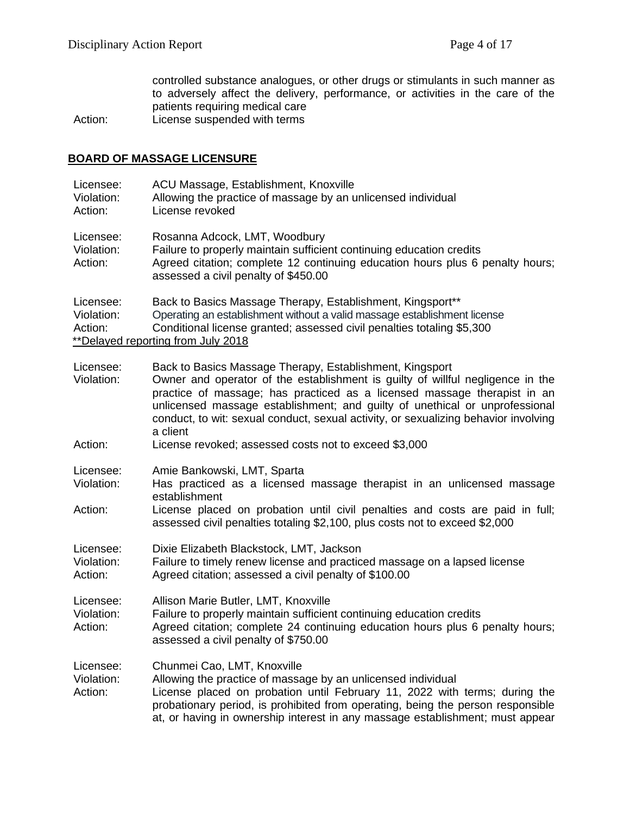controlled substance analogues, or other drugs or stimulants in such manner as to adversely affect the delivery, performance, or activities in the care of the patients requiring medical care

Action: License suspended with terms

## **BOARD OF MASSAGE LICENSURE**

| Licensee:<br>Violation:<br>Action: | ACU Massage, Establishment, Knoxville<br>Allowing the practice of massage by an unlicensed individual<br>License revoked                                                                                                                                                                                                                                                                                 |
|------------------------------------|----------------------------------------------------------------------------------------------------------------------------------------------------------------------------------------------------------------------------------------------------------------------------------------------------------------------------------------------------------------------------------------------------------|
| Licensee:<br>Violation:<br>Action: | Rosanna Adcock, LMT, Woodbury<br>Failure to properly maintain sufficient continuing education credits<br>Agreed citation; complete 12 continuing education hours plus 6 penalty hours;<br>assessed a civil penalty of \$450.00                                                                                                                                                                           |
| Licensee:<br>Violation:<br>Action: | Back to Basics Massage Therapy, Establishment, Kingsport**<br>Operating an establishment without a valid massage establishment license<br>Conditional license granted; assessed civil penalties totaling \$5,300<br>**Delayed reporting from July 2018                                                                                                                                                   |
| Licensee:<br>Violation:            | Back to Basics Massage Therapy, Establishment, Kingsport<br>Owner and operator of the establishment is guilty of willful negligence in the<br>practice of massage; has practiced as a licensed massage therapist in an<br>unlicensed massage establishment; and guilty of unethical or unprofessional<br>conduct, to wit: sexual conduct, sexual activity, or sexualizing behavior involving<br>a client |
| Action:                            | License revoked; assessed costs not to exceed \$3,000                                                                                                                                                                                                                                                                                                                                                    |
| Licensee:<br>Violation:<br>Action: | Amie Bankowski, LMT, Sparta<br>Has practiced as a licensed massage therapist in an unlicensed massage<br>establishment<br>License placed on probation until civil penalties and costs are paid in full;<br>assessed civil penalties totaling \$2,100, plus costs not to exceed \$2,000                                                                                                                   |
| Licensee:<br>Violation:<br>Action: | Dixie Elizabeth Blackstock, LMT, Jackson<br>Failure to timely renew license and practiced massage on a lapsed license<br>Agreed citation; assessed a civil penalty of \$100.00                                                                                                                                                                                                                           |
| Licensee:<br>Violation:<br>Action: | Allison Marie Butler, LMT, Knoxville<br>Failure to properly maintain sufficient continuing education credits<br>Agreed citation; complete 24 continuing education hours plus 6 penalty hours;<br>assessed a civil penalty of \$750.00                                                                                                                                                                    |
| Licensee:<br>Violation:<br>Action: | Chunmei Cao, LMT, Knoxville<br>Allowing the practice of massage by an unlicensed individual<br>License placed on probation until February 11, 2022 with terms; during the<br>probationary period, is prohibited from operating, being the person responsible<br>at, or having in ownership interest in any massage establishment; must appear                                                            |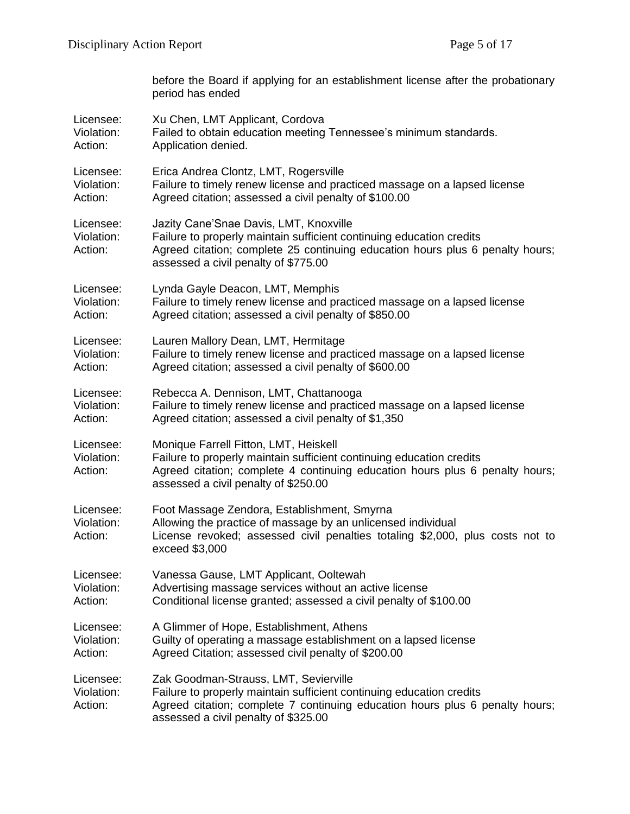|                                    | before the Board if applying for an establishment license after the probationary<br>period has ended                                                                                                                                    |
|------------------------------------|-----------------------------------------------------------------------------------------------------------------------------------------------------------------------------------------------------------------------------------------|
| Licensee:                          | Xu Chen, LMT Applicant, Cordova                                                                                                                                                                                                         |
| Violation:                         | Failed to obtain education meeting Tennessee's minimum standards.                                                                                                                                                                       |
| Action:                            | Application denied.                                                                                                                                                                                                                     |
| Licensee:                          | Erica Andrea Clontz, LMT, Rogersville                                                                                                                                                                                                   |
| Violation:                         | Failure to timely renew license and practiced massage on a lapsed license                                                                                                                                                               |
| Action:                            | Agreed citation; assessed a civil penalty of \$100.00                                                                                                                                                                                   |
| Licensee:<br>Violation:<br>Action: | Jazity Cane'Snae Davis, LMT, Knoxville<br>Failure to properly maintain sufficient continuing education credits<br>Agreed citation; complete 25 continuing education hours plus 6 penalty hours;<br>assessed a civil penalty of \$775.00 |
| Licensee:                          | Lynda Gayle Deacon, LMT, Memphis                                                                                                                                                                                                        |
| Violation:                         | Failure to timely renew license and practiced massage on a lapsed license                                                                                                                                                               |
| Action:                            | Agreed citation; assessed a civil penalty of \$850.00                                                                                                                                                                                   |
| Licensee:                          | Lauren Mallory Dean, LMT, Hermitage                                                                                                                                                                                                     |
| Violation:                         | Failure to timely renew license and practiced massage on a lapsed license                                                                                                                                                               |
| Action:                            | Agreed citation; assessed a civil penalty of \$600.00                                                                                                                                                                                   |
| Licensee:                          | Rebecca A. Dennison, LMT, Chattanooga                                                                                                                                                                                                   |
| Violation:                         | Failure to timely renew license and practiced massage on a lapsed license                                                                                                                                                               |
| Action:                            | Agreed citation; assessed a civil penalty of \$1,350                                                                                                                                                                                    |
| Licensee:<br>Violation:<br>Action: | Monique Farrell Fitton, LMT, Heiskell<br>Failure to properly maintain sufficient continuing education credits<br>Agreed citation; complete 4 continuing education hours plus 6 penalty hours;<br>assessed a civil penalty of \$250.00   |
| Licensee:<br>Violation:<br>Action: | Foot Massage Zendora, Establishment, Smyrna<br>Allowing the practice of massage by an unlicensed individual<br>License revoked; assessed civil penalties totaling \$2,000, plus costs not to<br>exceed \$3,000                          |
| Licensee:                          | Vanessa Gause, LMT Applicant, Ooltewah                                                                                                                                                                                                  |
| Violation:                         | Advertising massage services without an active license                                                                                                                                                                                  |
| Action:                            | Conditional license granted; assessed a civil penalty of \$100.00                                                                                                                                                                       |
| Licensee:                          | A Glimmer of Hope, Establishment, Athens                                                                                                                                                                                                |
| Violation:                         | Guilty of operating a massage establishment on a lapsed license                                                                                                                                                                         |
| Action:                            | Agreed Citation; assessed civil penalty of \$200.00                                                                                                                                                                                     |
| Licensee:<br>Violation:<br>Action: | Zak Goodman-Strauss, LMT, Sevierville<br>Failure to properly maintain sufficient continuing education credits<br>Agreed citation; complete 7 continuing education hours plus 6 penalty hours;<br>assessed a civil penalty of \$325.00   |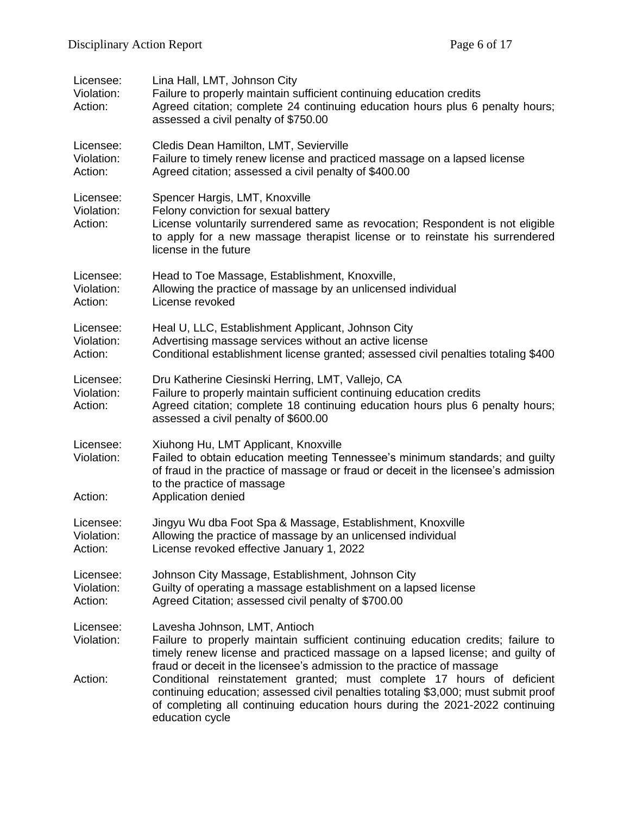| Licensee:<br>Violation:<br>Action: | Lina Hall, LMT, Johnson City<br>Failure to properly maintain sufficient continuing education credits<br>Agreed citation; complete 24 continuing education hours plus 6 penalty hours;<br>assessed a civil penalty of \$750.00                                                |
|------------------------------------|------------------------------------------------------------------------------------------------------------------------------------------------------------------------------------------------------------------------------------------------------------------------------|
| Licensee:<br>Violation:<br>Action: | Cledis Dean Hamilton, LMT, Sevierville<br>Failure to timely renew license and practiced massage on a lapsed license<br>Agreed citation; assessed a civil penalty of \$400.00                                                                                                 |
| Licensee:<br>Violation:<br>Action: | Spencer Hargis, LMT, Knoxville<br>Felony conviction for sexual battery<br>License voluntarily surrendered same as revocation; Respondent is not eligible<br>to apply for a new massage therapist license or to reinstate his surrendered<br>license in the future            |
| Licensee:<br>Violation:<br>Action: | Head to Toe Massage, Establishment, Knoxville,<br>Allowing the practice of massage by an unlicensed individual<br>License revoked                                                                                                                                            |
| Licensee:<br>Violation:<br>Action: | Heal U, LLC, Establishment Applicant, Johnson City<br>Advertising massage services without an active license<br>Conditional establishment license granted; assessed civil penalties totaling \$400                                                                           |
| Licensee:<br>Violation:<br>Action: | Dru Katherine Ciesinski Herring, LMT, Vallejo, CA<br>Failure to properly maintain sufficient continuing education credits<br>Agreed citation; complete 18 continuing education hours plus 6 penalty hours;<br>assessed a civil penalty of \$600.00                           |
| Licensee:<br>Violation:<br>Action: | Xiuhong Hu, LMT Applicant, Knoxville<br>Failed to obtain education meeting Tennessee's minimum standards; and guilty<br>of fraud in the practice of massage or fraud or deceit in the licensee's admission<br>to the practice of massage<br>Application denied               |
| Licensee:<br>Violation:<br>Action: | Jingyu Wu dba Foot Spa & Massage, Establishment, Knoxville<br>Allowing the practice of massage by an unlicensed individual<br>License revoked effective January 1, 2022                                                                                                      |
| Licensee:<br>Violation:<br>Action: | Johnson City Massage, Establishment, Johnson City<br>Guilty of operating a massage establishment on a lapsed license<br>Agreed Citation; assessed civil penalty of \$700.00                                                                                                  |
| Licensee:<br>Violation:            | Lavesha Johnson, LMT, Antioch<br>Failure to properly maintain sufficient continuing education credits; failure to<br>timely renew license and practiced massage on a lapsed license; and guilty of<br>fraud or deceit in the licensee's admission to the practice of massage |
| Action:                            | Conditional reinstatement granted; must complete 17 hours of deficient<br>continuing education; assessed civil penalties totaling \$3,000; must submit proof<br>of completing all continuing education hours during the 2021-2022 continuing<br>education cycle              |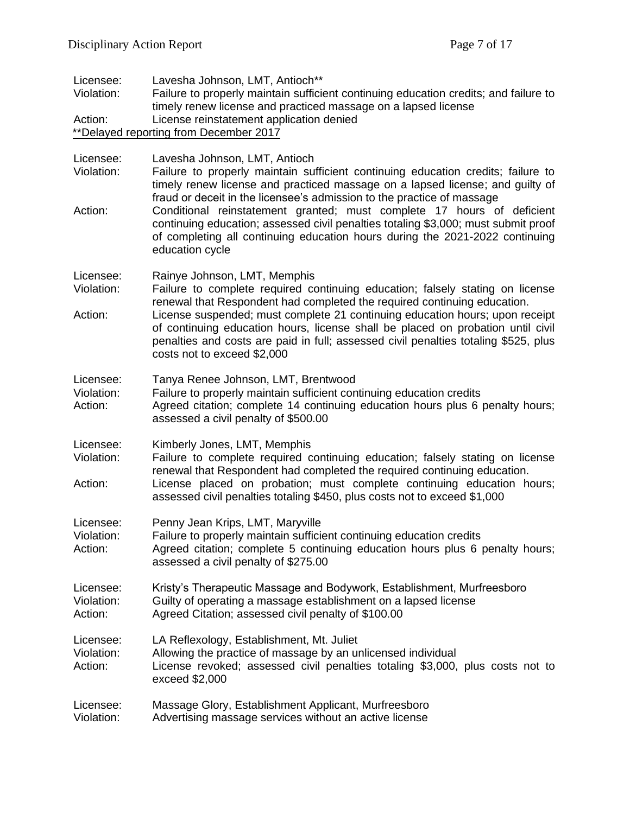| Licensee:<br>Violation:            | Lavesha Johnson, LMT, Antioch**<br>Failure to properly maintain sufficient continuing education credits; and failure to<br>timely renew license and practiced massage on a lapsed license                                                                                                                                                        |  |  |
|------------------------------------|--------------------------------------------------------------------------------------------------------------------------------------------------------------------------------------------------------------------------------------------------------------------------------------------------------------------------------------------------|--|--|
| Action:                            | License reinstatement application denied                                                                                                                                                                                                                                                                                                         |  |  |
|                                    | **Delayed reporting from December 2017                                                                                                                                                                                                                                                                                                           |  |  |
| Licensee:<br>Violation:            | Lavesha Johnson, LMT, Antioch<br>Failure to properly maintain sufficient continuing education credits; failure to<br>timely renew license and practiced massage on a lapsed license; and guilty of<br>fraud or deceit in the licensee's admission to the practice of massage                                                                     |  |  |
| Action:                            | Conditional reinstatement granted; must complete 17 hours of deficient<br>continuing education; assessed civil penalties totaling \$3,000; must submit proof<br>of completing all continuing education hours during the 2021-2022 continuing<br>education cycle                                                                                  |  |  |
| Licensee:<br>Violation:            | Rainye Johnson, LMT, Memphis<br>Failure to complete required continuing education; falsely stating on license<br>renewal that Respondent had completed the required continuing education.                                                                                                                                                        |  |  |
| Action:                            | License suspended; must complete 21 continuing education hours; upon receipt<br>of continuing education hours, license shall be placed on probation until civil<br>penalties and costs are paid in full; assessed civil penalties totaling \$525, plus<br>costs not to exceed \$2,000                                                            |  |  |
| Licensee:<br>Violation:<br>Action: | Tanya Renee Johnson, LMT, Brentwood<br>Failure to properly maintain sufficient continuing education credits<br>Agreed citation; complete 14 continuing education hours plus 6 penalty hours;<br>assessed a civil penalty of \$500.00                                                                                                             |  |  |
| Licensee:<br>Violation:<br>Action: | Kimberly Jones, LMT, Memphis<br>Failure to complete required continuing education; falsely stating on license<br>renewal that Respondent had completed the required continuing education.<br>License placed on probation; must complete continuing education hours;<br>assessed civil penalties totaling \$450, plus costs not to exceed \$1,000 |  |  |
| Licensee:<br>Violation:<br>Action: | Penny Jean Krips, LMT, Maryville<br>Failure to properly maintain sufficient continuing education credits<br>Agreed citation; complete 5 continuing education hours plus 6 penalty hours;<br>assessed a civil penalty of \$275.00                                                                                                                 |  |  |
| Licensee:<br>Violation:<br>Action: | Kristy's Therapeutic Massage and Bodywork, Establishment, Murfreesboro<br>Guilty of operating a massage establishment on a lapsed license<br>Agreed Citation; assessed civil penalty of \$100.00                                                                                                                                                 |  |  |
| Licensee:<br>Violation:<br>Action: | LA Reflexology, Establishment, Mt. Juliet<br>Allowing the practice of massage by an unlicensed individual<br>License revoked; assessed civil penalties totaling \$3,000, plus costs not to<br>exceed \$2,000                                                                                                                                     |  |  |
| Licensee:<br>Violation:            | Massage Glory, Establishment Applicant, Murfreesboro<br>Advertising massage services without an active license                                                                                                                                                                                                                                   |  |  |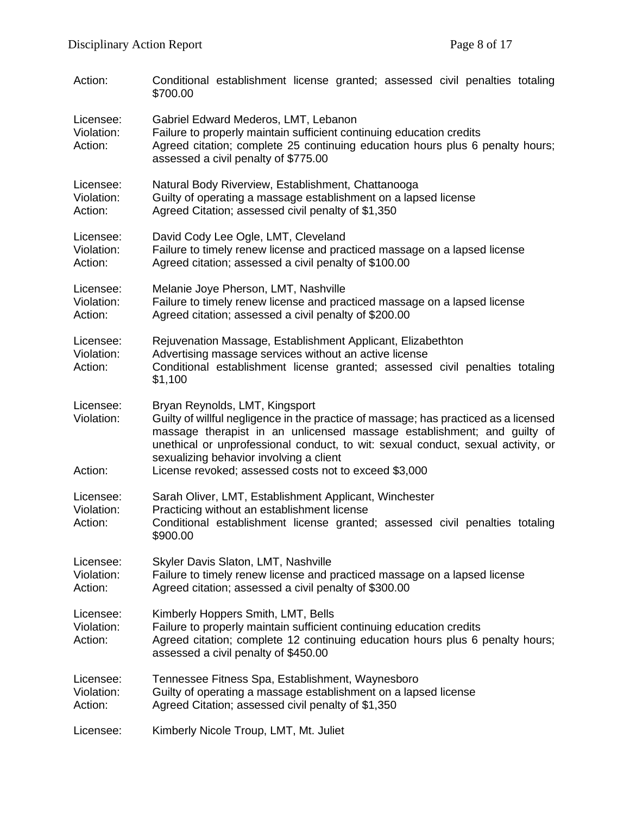| Action:                            | Conditional establishment license granted; assessed civil penalties totaling<br>\$700.00                                                                                                                                                                                                                                                                                                  |
|------------------------------------|-------------------------------------------------------------------------------------------------------------------------------------------------------------------------------------------------------------------------------------------------------------------------------------------------------------------------------------------------------------------------------------------|
| Licensee:<br>Violation:<br>Action: | Gabriel Edward Mederos, LMT, Lebanon<br>Failure to properly maintain sufficient continuing education credits<br>Agreed citation; complete 25 continuing education hours plus 6 penalty hours;<br>assessed a civil penalty of \$775.00                                                                                                                                                     |
| Licensee:<br>Violation:<br>Action: | Natural Body Riverview, Establishment, Chattanooga<br>Guilty of operating a massage establishment on a lapsed license<br>Agreed Citation; assessed civil penalty of \$1,350                                                                                                                                                                                                               |
| Licensee:<br>Violation:<br>Action: | David Cody Lee Ogle, LMT, Cleveland<br>Failure to timely renew license and practiced massage on a lapsed license<br>Agreed citation; assessed a civil penalty of \$100.00                                                                                                                                                                                                                 |
| Licensee:<br>Violation:<br>Action: | Melanie Joye Pherson, LMT, Nashville<br>Failure to timely renew license and practiced massage on a lapsed license<br>Agreed citation; assessed a civil penalty of \$200.00                                                                                                                                                                                                                |
| Licensee:<br>Violation:<br>Action: | Rejuvenation Massage, Establishment Applicant, Elizabethton<br>Advertising massage services without an active license<br>Conditional establishment license granted; assessed civil penalties totaling<br>\$1,100                                                                                                                                                                          |
| Licensee:<br>Violation:<br>Action: | Bryan Reynolds, LMT, Kingsport<br>Guilty of willful negligence in the practice of massage; has practiced as a licensed<br>massage therapist in an unlicensed massage establishment; and guilty of<br>unethical or unprofessional conduct, to wit: sexual conduct, sexual activity, or<br>sexualizing behavior involving a client<br>License revoked; assessed costs not to exceed \$3,000 |
| Licensee:<br>Violation:<br>Action: | Sarah Oliver, LMT, Establishment Applicant, Winchester<br>Practicing without an establishment license<br>Conditional establishment license granted; assessed civil penalties totaling<br>\$900.00                                                                                                                                                                                         |
| Licensee:<br>Violation:<br>Action: | Skyler Davis Slaton, LMT, Nashville<br>Failure to timely renew license and practiced massage on a lapsed license<br>Agreed citation; assessed a civil penalty of \$300.00                                                                                                                                                                                                                 |
| Licensee:<br>Violation:<br>Action: | Kimberly Hoppers Smith, LMT, Bells<br>Failure to properly maintain sufficient continuing education credits<br>Agreed citation; complete 12 continuing education hours plus 6 penalty hours;<br>assessed a civil penalty of \$450.00                                                                                                                                                       |
| Licensee:<br>Violation:<br>Action: | Tennessee Fitness Spa, Establishment, Waynesboro<br>Guilty of operating a massage establishment on a lapsed license<br>Agreed Citation; assessed civil penalty of \$1,350                                                                                                                                                                                                                 |
| Licensee:                          | Kimberly Nicole Troup, LMT, Mt. Juliet                                                                                                                                                                                                                                                                                                                                                    |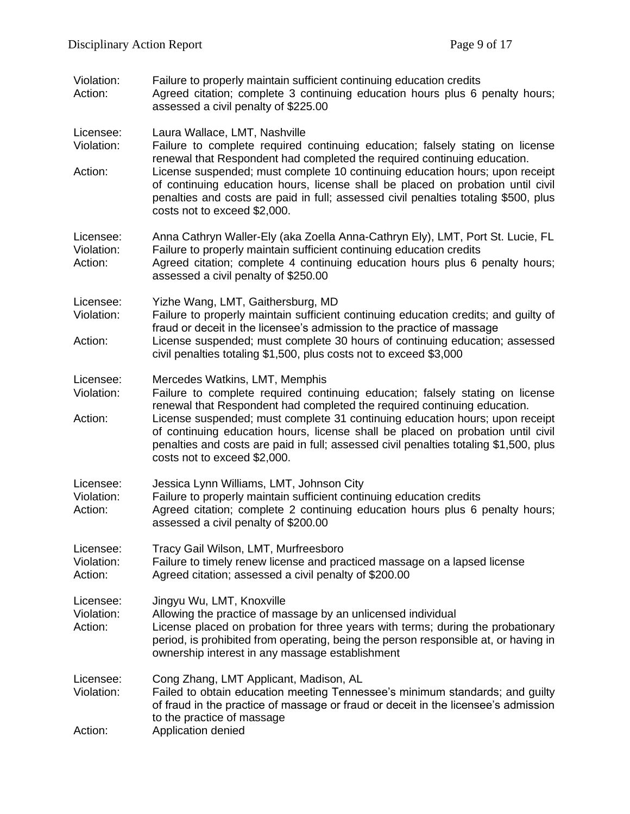| Violation:<br>Action:              | Failure to properly maintain sufficient continuing education credits<br>Agreed citation; complete 3 continuing education hours plus 6 penalty hours;<br>assessed a civil penalty of \$225.00                                                                                                                                                            |
|------------------------------------|---------------------------------------------------------------------------------------------------------------------------------------------------------------------------------------------------------------------------------------------------------------------------------------------------------------------------------------------------------|
| Licensee:<br>Violation:<br>Action: | Laura Wallace, LMT, Nashville<br>Failure to complete required continuing education; falsely stating on license<br>renewal that Respondent had completed the required continuing education.<br>License suspended; must complete 10 continuing education hours; upon receipt                                                                              |
|                                    | of continuing education hours, license shall be placed on probation until civil<br>penalties and costs are paid in full; assessed civil penalties totaling \$500, plus<br>costs not to exceed \$2,000.                                                                                                                                                  |
| Licensee:<br>Violation:<br>Action: | Anna Cathryn Waller-Ely (aka Zoella Anna-Cathryn Ely), LMT, Port St. Lucie, FL<br>Failure to properly maintain sufficient continuing education credits<br>Agreed citation; complete 4 continuing education hours plus 6 penalty hours;<br>assessed a civil penalty of \$250.00                                                                          |
| Licensee:<br>Violation:<br>Action: | Yizhe Wang, LMT, Gaithersburg, MD<br>Failure to properly maintain sufficient continuing education credits; and guilty of<br>fraud or deceit in the licensee's admission to the practice of massage<br>License suspended; must complete 30 hours of continuing education; assessed<br>civil penalties totaling \$1,500, plus costs not to exceed \$3,000 |
| Licensee:                          | Mercedes Watkins, LMT, Memphis                                                                                                                                                                                                                                                                                                                          |
| Violation:<br>Action:              | Failure to complete required continuing education; falsely stating on license<br>renewal that Respondent had completed the required continuing education.<br>License suspended; must complete 31 continuing education hours; upon receipt                                                                                                               |
|                                    | of continuing education hours, license shall be placed on probation until civil<br>penalties and costs are paid in full; assessed civil penalties totaling \$1,500, plus<br>costs not to exceed \$2,000.                                                                                                                                                |
| Licensee:<br>Violation:<br>Action: | Jessica Lynn Williams, LMT, Johnson City<br>Failure to properly maintain sufficient continuing education credits<br>Agreed citation; complete 2 continuing education hours plus 6 penalty hours;<br>assessed a civil penalty of \$200.00                                                                                                                |
| Licensee:<br>Violation:<br>Action: | Tracy Gail Wilson, LMT, Murfreesboro<br>Failure to timely renew license and practiced massage on a lapsed license<br>Agreed citation; assessed a civil penalty of \$200.00                                                                                                                                                                              |
| Licensee:<br>Violation:<br>Action: | Jingyu Wu, LMT, Knoxville<br>Allowing the practice of massage by an unlicensed individual<br>License placed on probation for three years with terms; during the probationary<br>period, is prohibited from operating, being the person responsible at, or having in<br>ownership interest in any massage establishment                                  |
| Licensee:<br>Violation:<br>Action: | Cong Zhang, LMT Applicant, Madison, AL<br>Failed to obtain education meeting Tennessee's minimum standards; and guilty<br>of fraud in the practice of massage or fraud or deceit in the licensee's admission<br>to the practice of massage<br>Application denied                                                                                        |
|                                    |                                                                                                                                                                                                                                                                                                                                                         |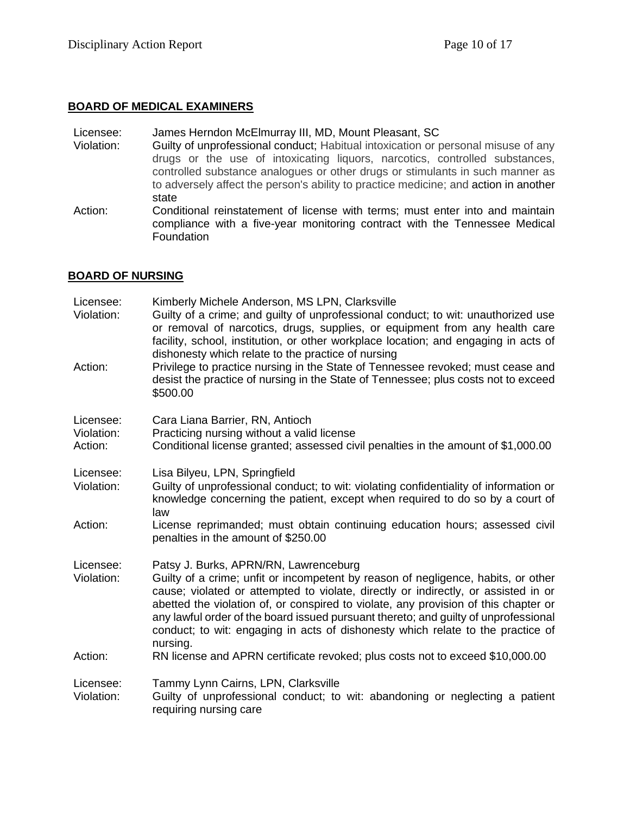### **BOARD OF MEDICAL EXAMINERS**

#### Licensee: James Herndon McElmurray III, MD, Mount Pleasant, SC

- Violation: Guilty of unprofessional conduct; Habitual intoxication or personal misuse of any drugs or the use of intoxicating liquors, narcotics, controlled substances, controlled substance analogues or other drugs or stimulants in such manner as to adversely affect the person's ability to practice medicine; and action in another state
- Action: Conditional reinstatement of license with terms; must enter into and maintain compliance with a five-year monitoring contract with the Tennessee Medical Foundation

## **BOARD OF NURSING**

| Licensee:<br>Violation:            | Kimberly Michele Anderson, MS LPN, Clarksville<br>Guilty of a crime; and guilty of unprofessional conduct; to wit: unauthorized use<br>or removal of narcotics, drugs, supplies, or equipment from any health care<br>facility, school, institution, or other workplace location; and engaging in acts of<br>dishonesty which relate to the practice of nursing                                                                                                                               |
|------------------------------------|-----------------------------------------------------------------------------------------------------------------------------------------------------------------------------------------------------------------------------------------------------------------------------------------------------------------------------------------------------------------------------------------------------------------------------------------------------------------------------------------------|
| Action:                            | Privilege to practice nursing in the State of Tennessee revoked; must cease and<br>desist the practice of nursing in the State of Tennessee; plus costs not to exceed<br>\$500.00                                                                                                                                                                                                                                                                                                             |
| Licensee:<br>Violation:<br>Action: | Cara Liana Barrier, RN, Antioch<br>Practicing nursing without a valid license<br>Conditional license granted; assessed civil penalties in the amount of \$1,000.00                                                                                                                                                                                                                                                                                                                            |
| Licensee:<br>Violation:            | Lisa Bilyeu, LPN, Springfield<br>Guilty of unprofessional conduct; to wit: violating confidentiality of information or<br>knowledge concerning the patient, except when required to do so by a court of<br>law                                                                                                                                                                                                                                                                                |
| Action:                            | License reprimanded; must obtain continuing education hours; assessed civil<br>penalties in the amount of \$250.00                                                                                                                                                                                                                                                                                                                                                                            |
| Licensee:<br>Violation:            | Patsy J. Burks, APRN/RN, Lawrenceburg<br>Guilty of a crime; unfit or incompetent by reason of negligence, habits, or other<br>cause; violated or attempted to violate, directly or indirectly, or assisted in or<br>abetted the violation of, or conspired to violate, any provision of this chapter or<br>any lawful order of the board issued pursuant thereto; and guilty of unprofessional<br>conduct; to wit: engaging in acts of dishonesty which relate to the practice of<br>nursing. |
| Action:                            | RN license and APRN certificate revoked; plus costs not to exceed \$10,000.00                                                                                                                                                                                                                                                                                                                                                                                                                 |
| Licensee:<br>Violation:            | Tammy Lynn Cairns, LPN, Clarksville<br>Guilty of unprofessional conduct; to wit: abandoning or neglecting a patient<br>requiring nursing care                                                                                                                                                                                                                                                                                                                                                 |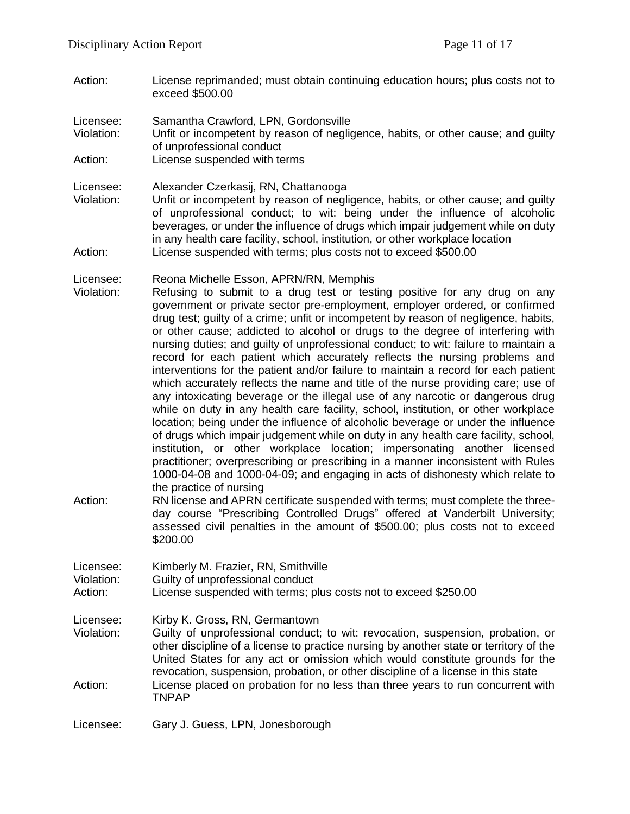Action: License reprimanded; must obtain continuing education hours; plus costs not to exceed \$500.00

Licensee: Samantha Crawford, LPN, Gordonsville

- Violation: Unfit or incompetent by reason of negligence, habits, or other cause; and guilty of unprofessional conduct
- Action: License suspended with terms

Licensee: Alexander Czerkasij, RN, Chattanooga

Violation: Unfit or incompetent by reason of negligence, habits, or other cause; and guilty of unprofessional conduct; to wit: being under the influence of alcoholic beverages, or under the influence of drugs which impair judgement while on duty in any health care facility, school, institution, or other workplace location Action: License suspended with terms; plus costs not to exceed \$500.00

Licensee: Reona Michelle Esson, APRN/RN, Memphis

- Violation: Refusing to submit to a drug test or testing positive for any drug on any government or private sector pre-employment, employer ordered, or confirmed drug test; guilty of a crime; unfit or incompetent by reason of negligence, habits, or other cause; addicted to alcohol or drugs to the degree of interfering with nursing duties; and guilty of unprofessional conduct; to wit: failure to maintain a record for each patient which accurately reflects the nursing problems and interventions for the patient and/or failure to maintain a record for each patient which accurately reflects the name and title of the nurse providing care; use of any intoxicating beverage or the illegal use of any narcotic or dangerous drug while on duty in any health care facility, school, institution, or other workplace location; being under the influence of alcoholic beverage or under the influence of drugs which impair judgement while on duty in any health care facility, school, institution, or other workplace location; impersonating another licensed practitioner; overprescribing or prescribing in a manner inconsistent with Rules 1000-04-08 and 1000-04-09; and engaging in acts of dishonesty which relate to the practice of nursing
- Action: RN license and APRN certificate suspended with terms; must complete the threeday course "Prescribing Controlled Drugs" offered at Vanderbilt University; assessed civil penalties in the amount of \$500.00; plus costs not to exceed \$200.00

| Licensee: | Kimberly M. Frazier, RN, Smithville |  |  |
|-----------|-------------------------------------|--|--|
|           |                                     |  |  |

Violation: Guilty of unprofessional conduct

Action: License suspended with terms; plus costs not to exceed \$250.00

Licensee: Kirby K. Gross, RN, Germantown

- Violation: Guilty of unprofessional conduct; to wit: revocation, suspension, probation, or other discipline of a license to practice nursing by another state or territory of the United States for any act or omission which would constitute grounds for the revocation, suspension, probation, or other discipline of a license in this state
- Action: License placed on probation for no less than three years to run concurrent with TNPAP

Licensee: Gary J. Guess, LPN, Jonesborough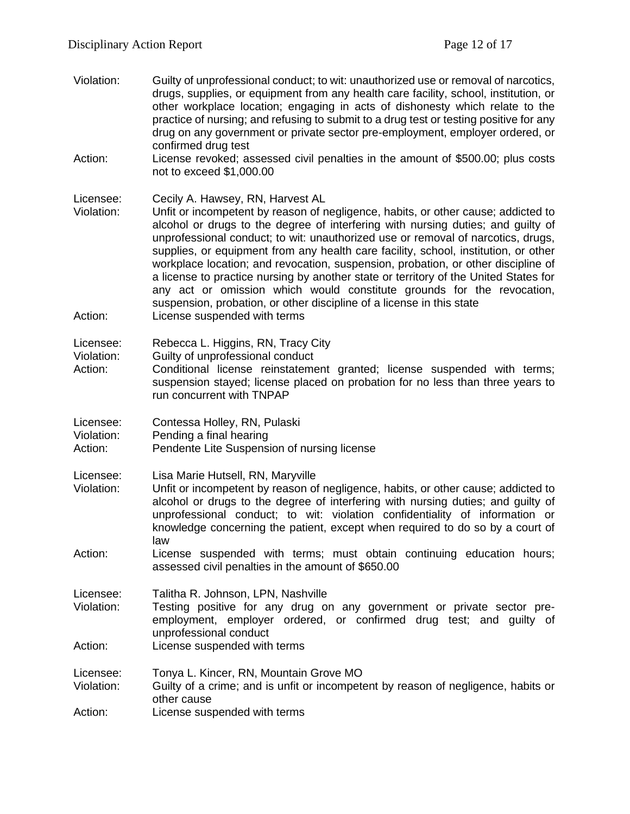Violation: Guilty of unprofessional conduct; to wit: unauthorized use or removal of narcotics, drugs, supplies, or equipment from any health care facility, school, institution, or other workplace location; engaging in acts of dishonesty which relate to the practice of nursing; and refusing to submit to a drug test or testing positive for any drug on any government or private sector pre-employment, employer ordered, or confirmed drug test Action: License revoked; assessed civil penalties in the amount of \$500.00; plus costs not to exceed \$1,000.00 Licensee: Cecily A. Hawsey, RN, Harvest AL Violation: Unfit or incompetent by reason of negligence, habits, or other cause; addicted to alcohol or drugs to the degree of interfering with nursing duties; and guilty of unprofessional conduct; to wit: unauthorized use or removal of narcotics, drugs, supplies, or equipment from any health care facility, school, institution, or other workplace location; and revocation, suspension, probation, or other discipline of a license to practice nursing by another state or territory of the United States for any act or omission which would constitute grounds for the revocation, suspension, probation, or other discipline of a license in this state Action: License suspended with terms Licensee: Rebecca L. Higgins, RN, Tracy City Violation: Guilty of unprofessional conduct Action: Conditional license reinstatement granted; license suspended with terms; suspension stayed; license placed on probation for no less than three years to run concurrent with TNPAP Licensee: Contessa Holley, RN, Pulaski Violation: Pending a final hearing Action: Pendente Lite Suspension of nursing license Licensee: Lisa Marie Hutsell, RN, Maryville Violation: Unfit or incompetent by reason of negligence, habits, or other cause; addicted to alcohol or drugs to the degree of interfering with nursing duties; and guilty of unprofessional conduct; to wit: violation confidentiality of information or knowledge concerning the patient, except when required to do so by a court of law Action: License suspended with terms; must obtain continuing education hours; assessed civil penalties in the amount of \$650.00 Licensee: Talitha R. Johnson, LPN, Nashville Violation: Testing positive for any drug on any government or private sector preemployment, employer ordered, or confirmed drug test; and guilty of unprofessional conduct Action: License suspended with terms Licensee: Tonya L. Kincer, RN, Mountain Grove MO Violation: Guilty of a crime; and is unfit or incompetent by reason of negligence, habits or other cause Action: License suspended with terms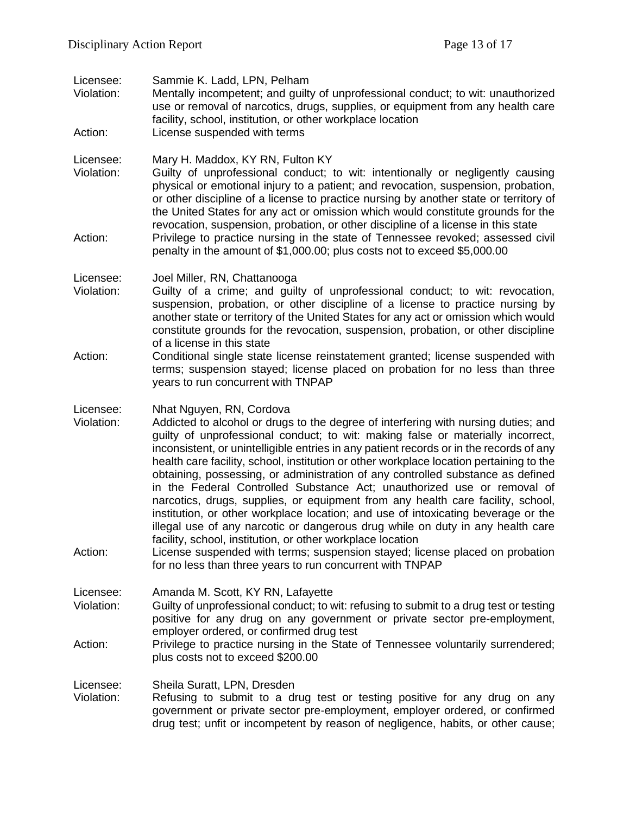Licensee: Sammie K. Ladd, LPN, Pelham Violation: Mentally incompetent; and guilty of unprofessional conduct; to wit: unauthorized use or removal of narcotics, drugs, supplies, or equipment from any health care facility, school, institution, or other workplace location Action: License suspended with terms Licensee: Mary H. Maddox, KY RN, Fulton KY Violation: Guilty of unprofessional conduct; to wit: intentionally or negligently causing physical or emotional injury to a patient; and revocation, suspension, probation, or other discipline of a license to practice nursing by another state or territory of the United States for any act or omission which would constitute grounds for the revocation, suspension, probation, or other discipline of a license in this state Action: Privilege to practice nursing in the state of Tennessee revoked; assessed civil penalty in the amount of \$1,000.00; plus costs not to exceed \$5,000.00 Licensee: Joel Miller, RN, Chattanooga Violation: Guilty of a crime; and guilty of unprofessional conduct; to wit: revocation, suspension, probation, or other discipline of a license to practice nursing by another state or territory of the United States for any act or omission which would constitute grounds for the revocation, suspension, probation, or other discipline of a license in this state Action: Conditional single state license reinstatement granted; license suspended with terms; suspension stayed; license placed on probation for no less than three years to run concurrent with TNPAP Licensee: Nhat Nguyen, RN, Cordova Violation: Addicted to alcohol or drugs to the degree of interfering with nursing duties; and guilty of unprofessional conduct; to wit: making false or materially incorrect, inconsistent, or unintelligible entries in any patient records or in the records of any health care facility, school, institution or other workplace location pertaining to the obtaining, possessing, or administration of any controlled substance as defined in the Federal Controlled Substance Act; unauthorized use or removal of narcotics, drugs, supplies, or equipment from any health care facility, school, institution, or other workplace location; and use of intoxicating beverage or the illegal use of any narcotic or dangerous drug while on duty in any health care facility, school, institution, or other workplace location Action: License suspended with terms; suspension stayed; license placed on probation for no less than three years to run concurrent with TNPAP Licensee: Amanda M. Scott, KY RN, Lafayette Violation: Guilty of unprofessional conduct; to wit: refusing to submit to a drug test or testing positive for any drug on any government or private sector pre-employment, employer ordered, or confirmed drug test Action: Privilege to practice nursing in the State of Tennessee voluntarily surrendered; plus costs not to exceed \$200.00 Licensee: Sheila Suratt, LPN, Dresden Violation: Refusing to submit to a drug test or testing positive for any drug on any government or private sector pre-employment, employer ordered, or confirmed drug test; unfit or incompetent by reason of negligence, habits, or other cause;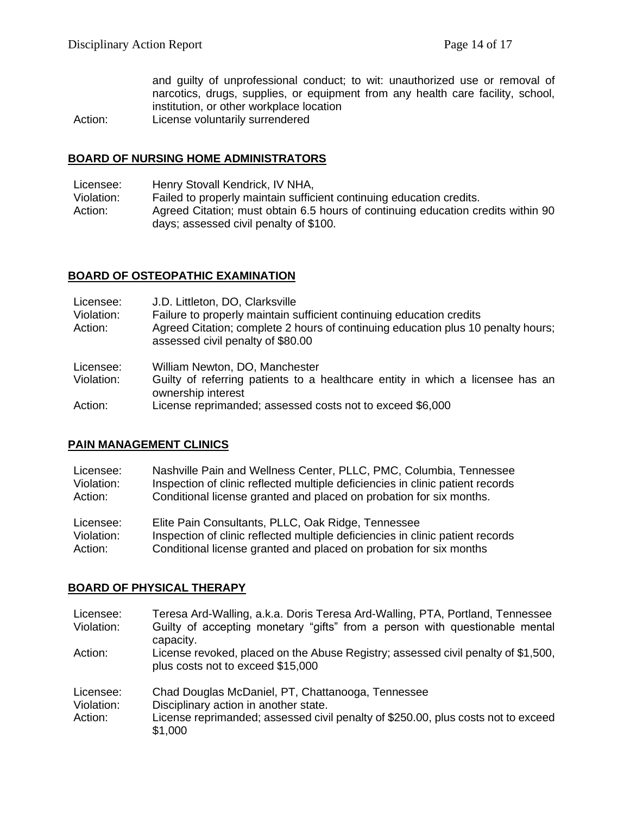and guilty of unprofessional conduct; to wit: unauthorized use or removal of narcotics, drugs, supplies, or equipment from any health care facility, school, institution, or other workplace location

Action: License voluntarily surrendered

#### **BOARD OF NURSING HOME ADMINISTRATORS**

Licensee: Henry Stovall Kendrick, IV NHA,

Violation: Failed to properly maintain sufficient continuing education credits. Action: Agreed Citation; must obtain 6.5 hours of continuing education credits within 90 days; assessed civil penalty of \$100.

## **BOARD OF OSTEOPATHIC EXAMINATION**

| Licensee:<br>Violation:<br>Action: | J.D. Littleton, DO, Clarksville<br>Failure to properly maintain sufficient continuing education credits<br>Agreed Citation; complete 2 hours of continuing education plus 10 penalty hours;<br>assessed civil penalty of \$80.00 |
|------------------------------------|----------------------------------------------------------------------------------------------------------------------------------------------------------------------------------------------------------------------------------|
| Licensee:<br>Violation:            | William Newton, DO, Manchester<br>Guilty of referring patients to a healthcare entity in which a licensee has an<br>ownership interest                                                                                           |
| $\mathbf{A}$ and $\mathbf{A}$      | the communication of the demonstration of the community ADA ADA.                                                                                                                                                                 |

Action: License reprimanded; assessed costs not to exceed \$6,000

### **PAIN MANAGEMENT CLINICS**

| Licensee:  | Nashville Pain and Wellness Center, PLLC, PMC, Columbia, Tennessee             |
|------------|--------------------------------------------------------------------------------|
| Violation: | Inspection of clinic reflected multiple deficiencies in clinic patient records |
| Action:    | Conditional license granted and placed on probation for six months.            |
| Licensee:  | Elite Pain Consultants, PLLC, Oak Ridge, Tennessee                             |
| Violation: | Inspection of clinic reflected multiple deficiencies in clinic patient records |

Action: Conditional license granted and placed on probation for six months

### **BOARD OF PHYSICAL THERAPY**

| Licensee:<br>Violation:            | Teresa Ard-Walling, a.k.a. Doris Teresa Ard-Walling, PTA, Portland, Tennessee<br>Guilty of accepting monetary "gifts" from a person with questionable mental<br>capacity.                  |
|------------------------------------|--------------------------------------------------------------------------------------------------------------------------------------------------------------------------------------------|
| Action:                            | License revoked, placed on the Abuse Registry; assessed civil penalty of \$1,500,<br>plus costs not to exceed \$15,000                                                                     |
| Licensee:<br>Violation:<br>Action: | Chad Douglas McDaniel, PT, Chattanooga, Tennessee<br>Disciplinary action in another state.<br>License reprimanded; assessed civil penalty of \$250.00, plus costs not to exceed<br>\$1,000 |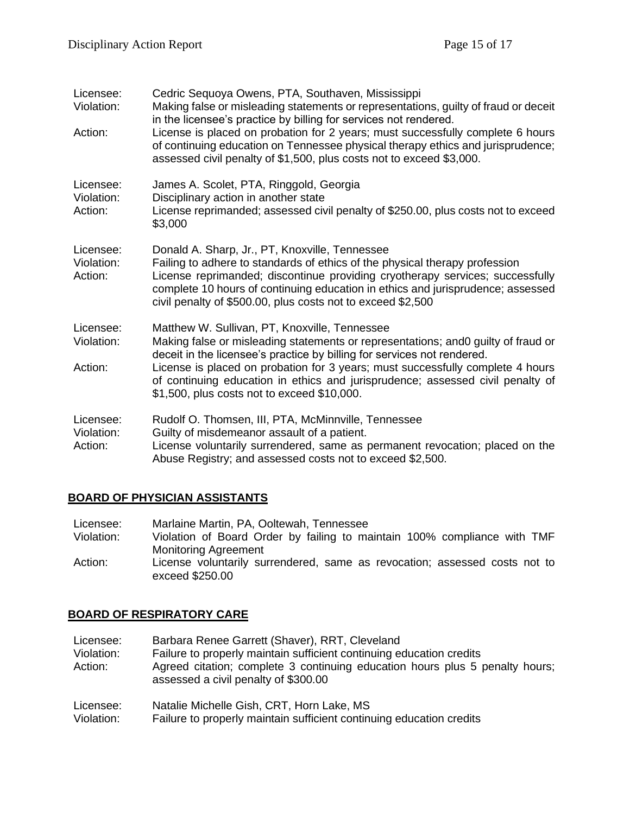| Licensee:<br>Violation:            | Cedric Sequoya Owens, PTA, Southaven, Mississippi<br>Making false or misleading statements or representations, guilty of fraud or deceit<br>in the licensee's practice by billing for services not rendered.                                                                                                                                                     |
|------------------------------------|------------------------------------------------------------------------------------------------------------------------------------------------------------------------------------------------------------------------------------------------------------------------------------------------------------------------------------------------------------------|
| Action:                            | License is placed on probation for 2 years; must successfully complete 6 hours<br>of continuing education on Tennessee physical therapy ethics and jurisprudence;<br>assessed civil penalty of \$1,500, plus costs not to exceed \$3,000.                                                                                                                        |
| Licensee:<br>Violation:<br>Action: | James A. Scolet, PTA, Ringgold, Georgia<br>Disciplinary action in another state<br>License reprimanded; assessed civil penalty of \$250.00, plus costs not to exceed<br>\$3,000                                                                                                                                                                                  |
| Licensee:<br>Violation:<br>Action: | Donald A. Sharp, Jr., PT, Knoxville, Tennessee<br>Failing to adhere to standards of ethics of the physical therapy profession<br>License reprimanded; discontinue providing cryotherapy services; successfully<br>complete 10 hours of continuing education in ethics and jurisprudence; assessed<br>civil penalty of \$500.00, plus costs not to exceed \$2,500 |
| Licensee:<br>Violation:            | Matthew W. Sullivan, PT, Knoxville, Tennessee<br>Making false or misleading statements or representations; and 0 guilty of fraud or<br>deceit in the licensee's practice by billing for services not rendered.                                                                                                                                                   |
| Action:                            | License is placed on probation for 3 years; must successfully complete 4 hours<br>of continuing education in ethics and jurisprudence; assessed civil penalty of<br>\$1,500, plus costs not to exceed \$10,000.                                                                                                                                                  |
| Licensee:<br>Violation:<br>Action: | Rudolf O. Thomsen, III, PTA, McMinnville, Tennessee<br>Guilty of misdemeanor assault of a patient.<br>License voluntarily surrendered, same as permanent revocation; placed on the<br>Abuse Registry; and assessed costs not to exceed \$2,500.                                                                                                                  |

## **BOARD OF PHYSICIAN ASSISTANTS**

| Licensee:  | Marlaine Martin, PA, Ooltewah, Tennessee                                   |
|------------|----------------------------------------------------------------------------|
| Violation: | Violation of Board Order by failing to maintain 100% compliance with TMF   |
|            | <b>Monitoring Agreement</b>                                                |
| Action:    | License voluntarily surrendered, same as revocation; assessed costs not to |
|            | exceed \$250.00                                                            |

# **BOARD OF RESPIRATORY CARE**

| Licensee:<br>Violation:<br>Action: | Barbara Renee Garrett (Shaver), RRT, Cleveland<br>Failure to properly maintain sufficient continuing education credits<br>Agreed citation; complete 3 continuing education hours plus 5 penalty hours;<br>assessed a civil penalty of \$300.00 |
|------------------------------------|------------------------------------------------------------------------------------------------------------------------------------------------------------------------------------------------------------------------------------------------|
| Licensee:                          | Natalie Michelle Gish, CRT, Horn Lake, MS                                                                                                                                                                                                      |
| Violation:                         | Failure to properly maintain sufficient continuing education credits                                                                                                                                                                           |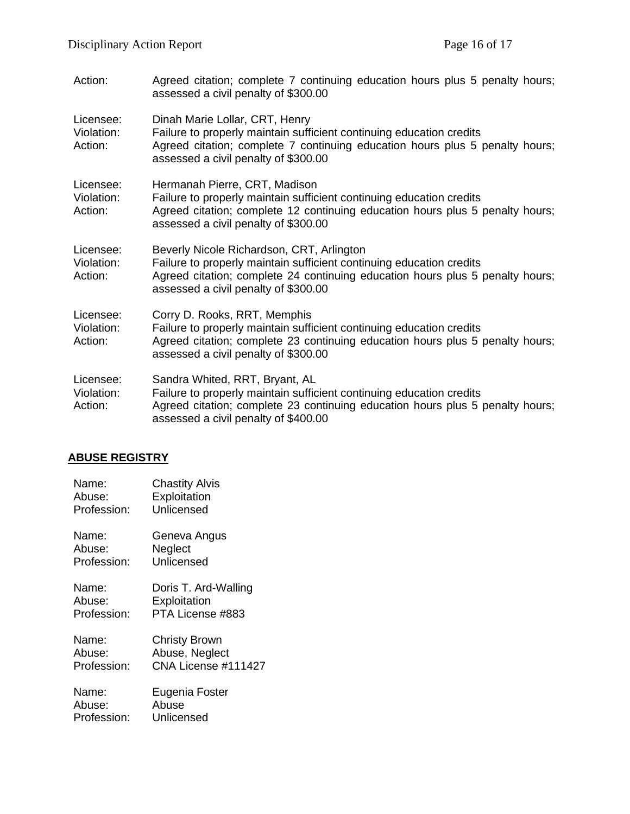| Action:                            | Agreed citation; complete 7 continuing education hours plus 5 penalty hours;<br>assessed a civil penalty of \$300.00                                                                                                                       |
|------------------------------------|--------------------------------------------------------------------------------------------------------------------------------------------------------------------------------------------------------------------------------------------|
| Licensee:<br>Violation:<br>Action: | Dinah Marie Lollar, CRT, Henry<br>Failure to properly maintain sufficient continuing education credits<br>Agreed citation; complete 7 continuing education hours plus 5 penalty hours;<br>assessed a civil penalty of \$300.00             |
| Licensee:<br>Violation:<br>Action: | Hermanah Pierre, CRT, Madison<br>Failure to properly maintain sufficient continuing education credits<br>Agreed citation; complete 12 continuing education hours plus 5 penalty hours;<br>assessed a civil penalty of \$300.00             |
| Licensee:<br>Violation:<br>Action: | Beverly Nicole Richardson, CRT, Arlington<br>Failure to properly maintain sufficient continuing education credits<br>Agreed citation; complete 24 continuing education hours plus 5 penalty hours;<br>assessed a civil penalty of \$300.00 |
| Licensee:<br>Violation:<br>Action: | Corry D. Rooks, RRT, Memphis<br>Failure to properly maintain sufficient continuing education credits<br>Agreed citation; complete 23 continuing education hours plus 5 penalty hours;<br>assessed a civil penalty of \$300.00              |
| Licensee:<br>Violation:<br>Action: | Sandra Whited, RRT, Bryant, AL<br>Failure to properly maintain sufficient continuing education credits<br>Agreed citation; complete 23 continuing education hours plus 5 penalty hours;<br>assessed a civil penalty of \$400.00            |

# **ABUSE REGISTRY**

| Name:       | <b>Chastity Alvis</b> |
|-------------|-----------------------|
| Abuse:      | Exploitation          |
| Profession: | Unlicensed            |
| Name:       | Geneva Angus          |
| Abuse:      | Neglect               |
| Profession: | Unlicensed            |
| Name:       | Doris T. Ard-Walling  |
| Abuse:      | Exploitation          |
| Profession: | PTA License #883      |
| Name:       | <b>Christy Brown</b>  |
| Abuse:      | Abuse, Neglect        |
| Profession: | CNA License #111427   |
| Name:       | Eugenia Foster        |
| Abuse:      | Abuse                 |
| Profession: | Unlicensed            |